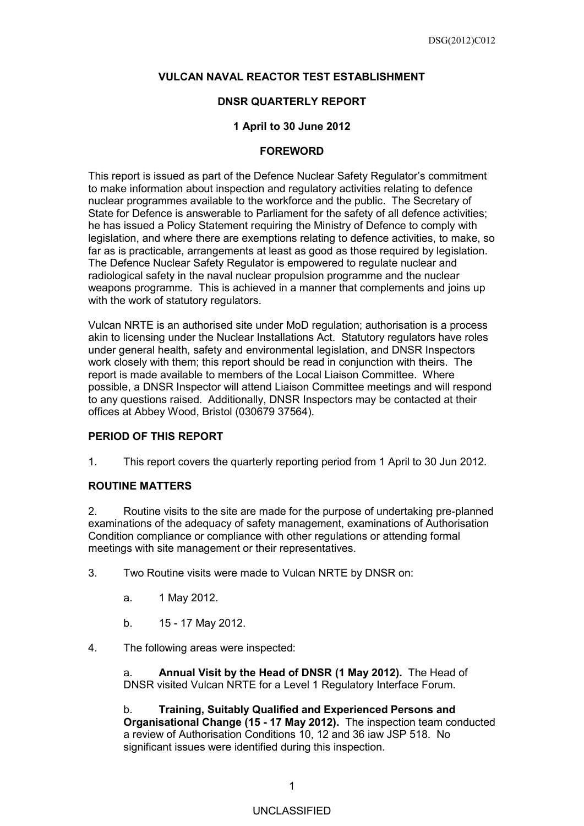# **VULCAN NAVAL REACTOR TEST ESTABLISHMENT**

# **DNSR QUARTERLY REPORT**

## **1 April to 30 June 2012**

#### **FOREWORD**

This report is issued as part of the Defence Nuclear Safety Regulator's commitment to make information about inspection and regulatory activities relating to defence nuclear programmes available to the workforce and the public. The Secretary of State for Defence is answerable to Parliament for the safety of all defence activities; he has issued a Policy Statement requiring the Ministry of Defence to comply with legislation, and where there are exemptions relating to defence activities, to make, so far as is practicable, arrangements at least as good as those required by legislation. The Defence Nuclear Safety Regulator is empowered to regulate nuclear and radiological safety in the naval nuclear propulsion programme and the nuclear weapons programme. This is achieved in a manner that complements and joins up with the work of statutory regulators.

Vulcan NRTE is an authorised site under MoD regulation; authorisation is a process akin to licensing under the Nuclear Installations Act. Statutory regulators have roles under general health, safety and environmental legislation, and DNSR Inspectors work closely with them; this report should be read in conjunction with theirs. The report is made available to members of the Local Liaison Committee. Where possible, a DNSR Inspector will attend Liaison Committee meetings and will respond to any questions raised. Additionally, DNSR Inspectors may be contacted at their offices at Abbey Wood, Bristol (030679 37564).

#### **PERIOD OF THIS REPORT**

1. This report covers the quarterly reporting period from 1 April to 30 Jun 2012*.*

#### **ROUTINE MATTERS**

2. Routine visits to the site are made for the purpose of undertaking pre-planned examinations of the adequacy of safety management, examinations of Authorisation Condition compliance or compliance with other regulations or attending formal meetings with site management or their representatives.

- 3. Two Routine visits were made to Vulcan NRTE by DNSR on:
	- a. 1 May 2012.
	- b. 15 17 May 2012.
- 4. The following areas were inspected:

a. **Annual Visit by the Head of DNSR (1 May 2012).** The Head of DNSR visited Vulcan NRTE for a Level 1 Regulatory Interface Forum.

b. **Training, Suitably Qualified and Experienced Persons and Organisational Change (15 - 17 May 2012).** The inspection team conducted a review of Authorisation Conditions 10, 12 and 36 iaw JSP 518. No significant issues were identified during this inspection.

# UNCLASSIFIED